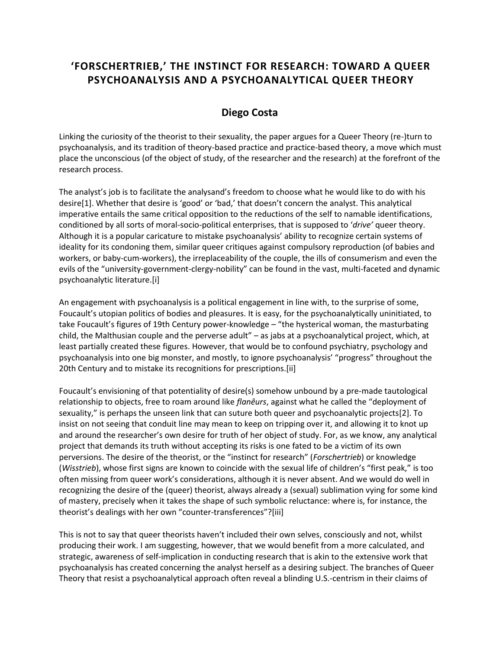## **'FORSCHERTRIEB,' THE INSTINCT FOR RESEARCH: TOWARD A QUEER PSYCHOANALYSIS AND A PSYCHOANALYTICAL QUEER THEORY**

## **Diego Costa**

Linking the curiosity of the theorist to their sexuality, the paper argues for a Queer Theory (re-)turn to psychoanalysis, and its tradition of theory-based practice and practice-based theory, a move which must place the unconscious (of the object of study, of the researcher and the research) at the forefront of the research process.

The analyst's job is to facilitate the analysand's freedom to choose what he would like to do with his desire[1]. Whether that desire is 'good' or 'bad,' that doesn't concern the analyst. This analytical imperative entails the same critical opposition to the reductions of the self to namable identifications, conditioned by all sorts of moral-socio-political enterprises, that is supposed to '*drive'* queer theory. Although it is a popular caricature to mistake psychoanalysis' ability to recognize certain systems of ideality for its condoning them, similar queer critiques against compulsory reproduction (of babies and workers, or baby-cum-workers), the irreplaceability of the couple, the ills of consumerism and even the evils of the "university-government-clergy-nobility" can be found in the vast, multi-faceted and dynamic psychoanalytic literature.[i]

An engagement with psychoanalysis is a political engagement in line with, to the surprise of some, Foucault's utopian politics of bodies and pleasures. It is easy, for the psychoanalytically uninitiated, to take Foucault's figures of 19th Century power-knowledge – "the hysterical woman, the masturbating child, the Malthusian couple and the perverse adult" – as jabs at a psychoanalytical project, which, at least partially created these figures. However, that would be to confound psychiatry, psychology and psychoanalysis into one big monster, and mostly, to ignore psychoanalysis' "progress" throughout the 20th Century and to mistake its recognitions for prescriptions.[ii]

Foucault's envisioning of that potentiality of desire(s) somehow unbound by a pre-made tautological relationship to objects, free to roam around like *flanêurs*, against what he called the "deployment of sexuality," is perhaps the unseen link that can suture both queer and psychoanalytic projects[2]. To insist on not seeing that conduit line may mean to keep on tripping over it, and allowing it to knot up and around the researcher's own desire for truth of her object of study. For, as we know, any analytical project that demands its truth without accepting its risks is one fated to be a victim of its own perversions. The desire of the theorist, or the "instinct for research" (*Forschertrieb*) or knowledge (*Wisstrieb*), whose first signs are known to coincide with the sexual life of children's "first peak," is too often missing from queer work's considerations, although it is never absent. And we would do well in recognizing the desire of the (queer) theorist, always already a (sexual) sublimation vying for some kind of mastery, precisely when it takes the shape of such symbolic reluctance: where is, for instance, the theorist's dealings with her own "counter-transferences"?[iii]

This is not to say that queer theorists haven't included their own selves, consciously and not, whilst producing their work. I am suggesting, however, that we would benefit from a more calculated, and strategic, awareness of self-implication in conducting research that is akin to the extensive work that psychoanalysis has created concerning the analyst herself as a desiring subject. The branches of Queer Theory that resist a psychoanalytical approach often reveal a blinding U.S.-centrism in their claims of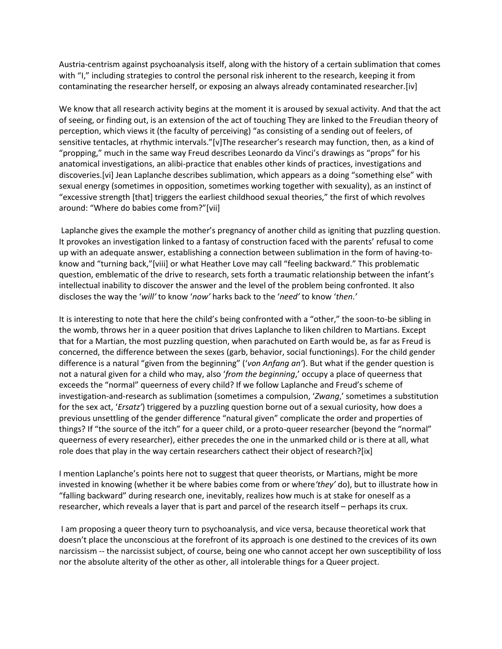Austria-centrism against psychoanalysis itself, along with the history of a certain sublimation that comes with "I," including strategies to control the personal risk inherent to the research, keeping it from contaminating the researcher herself, or exposing an always already contaminated researcher.[iv]

We know that all research activity begins at the moment it is aroused by sexual activity. And that the act of seeing, or finding out, is an extension of the act of touching They are linked to the Freudian theory of perception, which views it (the faculty of perceiving) "as consisting of a sending out of feelers, of sensitive tentacles, at rhythmic intervals."[v]The researcher's research may function, then, as a kind of "propping," much in the same way Freud describes Leonardo da Vinci's drawings as "props" for his anatomical investigations, an alibi-practice that enables other kinds of practices, investigations and discoveries.[vi] Jean Laplanche describes sublimation, which appears as a doing "something else" with sexual energy (sometimes in opposition, sometimes working together with sexuality), as an instinct of "excessive strength [that] triggers the earliest childhood sexual theories," the first of which revolves around: "Where do babies come from?"[vii]

Laplanche gives the example the mother's pregnancy of another child as igniting that puzzling question. It provokes an investigation linked to a fantasy of construction faced with the parents' refusal to come up with an adequate answer, establishing a connection between sublimation in the form of having-toknow and "turning back,"[viii] or what Heather Love may call "feeling backward." This problematic question, emblematic of the drive to research, sets forth a traumatic relationship between the infant's intellectual inability to discover the answer and the level of the problem being confronted. It also discloses the way the '*will'* to know '*now'* harks back to the '*need'* to know '*then*.*'*

It is interesting to note that here the child's being confronted with a "other," the soon-to-be sibling in the womb, throws her in a queer position that drives Laplanche to liken children to Martians. Except that for a Martian, the most puzzling question, when parachuted on Earth would be, as far as Freud is concerned, the difference between the sexes (garb, behavior, social functionings). For the child gender difference is a natural "given from the beginning" ('*von Anfang an'*). But what if the gender question is not a natural given for a child who may, also '*from the beginning*,' occupy a place of queerness that exceeds the "normal" queerness of every child? If we follow Laplanche and Freud's scheme of investigation-and-research as sublimation (sometimes a compulsion, '*Zwang*,' sometimes a substitution for the sex act, '*Ersatz'*) triggered by a puzzling question borne out of a sexual curiosity, how does a previous unsettling of the gender difference "natural given" complicate the order and properties of things? If "the source of the itch" for a queer child, or a proto-queer researcher (beyond the "normal" queerness of every researcher), either precedes the one in the unmarked child or is there at all, what role does that play in the way certain researchers cathect their object of research?[ix]

I mention Laplanche's points here not to suggest that queer theorists, or Martians, might be more invested in knowing (whether it be where babies come from or where*'they'* do), but to illustrate how in "falling backward" during research one, inevitably, realizes how much is at stake for oneself as a researcher, which reveals a layer that is part and parcel of the research itself – perhaps its crux.

I am proposing a queer theory turn to psychoanalysis, and vice versa, because theoretical work that doesn't place the unconscious at the forefront of its approach is one destined to the crevices of its own narcissism -- the narcissist subject, of course, being one who cannot accept her own susceptibility of loss nor the absolute alterity of the other as other, all intolerable things for a Queer project.